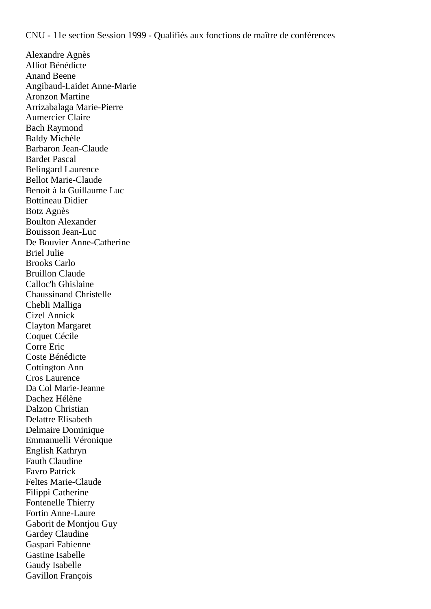Alexandre Agnès Alliot Bénédicte Anand Beene Angibaud-Laidet Anne-Marie Aronzon Martine Arrizabalaga Marie-Pierre Aumercier Claire Bach Raymond Baldy Michèle Barbaron Jean-Claude Bardet Pascal Belingard Laurence **Bellot Marie-Claude** Benoit à la Guillaume Luc Bottineau Didier Botz Agnès Boulton Alexander Bouisson Jean-Luc De Bouvier Anne-Catherine Briel Julie Brooks Carlo Bruillon Claude Calloc'h Ghislaine Chaussinand Christelle Chebli Malliga Cizel Annick Clayton Margaret Coquet Cécile Corre Eric Coste Bénédicte Cottington Ann Cros Laurence Da Col Marie-Jeanne Dachez Hélène Dalzon Christian Delattre Elisabeth Delmaire Dominique Emmanuelli Véronique English Kathryn Fauth Claudine Favro Patrick Feltes Marie-Claude Filippi Catherine Fontenelle Thierry Fortin Anne-Laure Gaborit de Montjou Guy Gardey Claudine Gaspari Fabienne Gastine Isabelle Gaudy Isabelle Gavillon François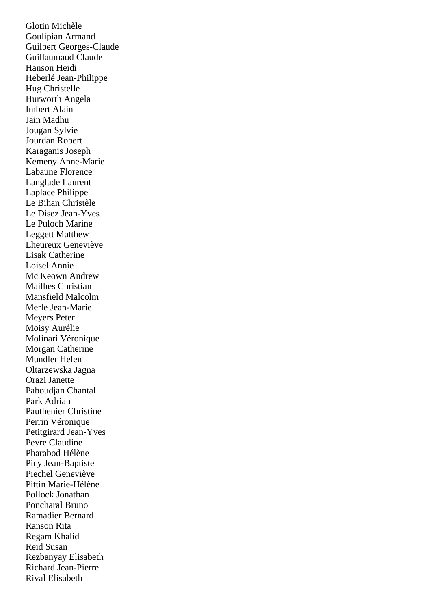Glotin Michèle Goulipian Armand Guilbert Georges-Claude Guillaumaud Claude Hanson Heidi Heberlé Jean-Philippe Hug Christelle Hurworth Angela Imbert Alain Jain Madhu Jougan Sylvie Jourdan Robert Karaganis Joseph Kemeny Anne-Marie Labaune Florence Langlade Laurent Laplace Philippe Le Bihan Christèle Le Disez Jean-Yves Le Puloch Marine Leggett Matthew Lheureux Geneviève Lisak Catherine Loisel Annie Mc Keown Andrew Mailhes Christian Mansfield Malcolm Merle Jean-Marie Meyers Peter Moisy Aurélie Molinari Véronique Morgan Catherine Mundler Helen Oltarzewska Jagna Orazi Janette Paboudjan Chantal Park Adrian Pauthenier Christine Perrin Véronique Petitgirard Jean-Yves Peyre Claudine Pharabod Hélène Picy Jean-Baptiste Piechel Geneviève Pittin Marie-Hélène Pollock Jonathan Poncharal Bruno Ramadier Bernard Ranson Rita Regam Khalid Reid Susan Rezbanyay Elisabeth Richard Jean-Pierre Rival Elisabeth